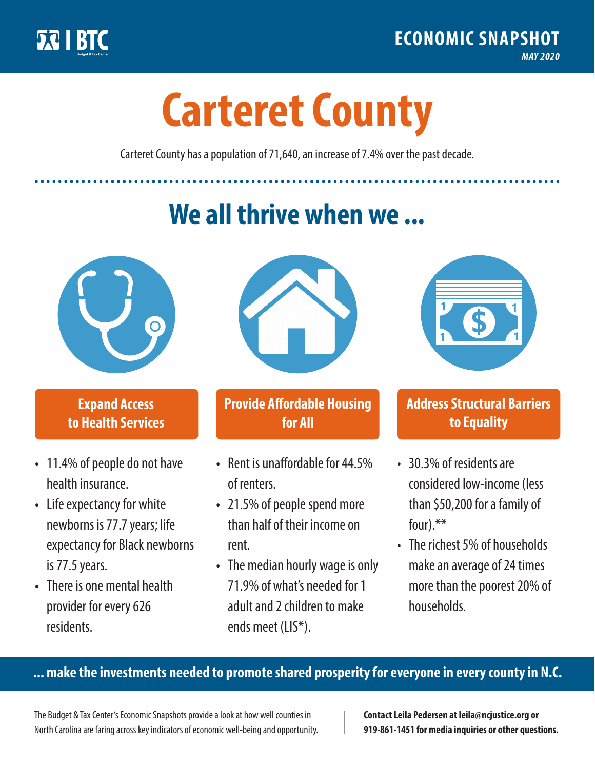

**1**

# **Carteret County**

Carteret County has a population of 71,640, an increase of 7.4% over the past decade.

# **We all thrive when we ...**



**\$ <sup>1</sup>**

**\$ <sup>1</sup>**

#### **Expand Access to Health Services**

- 11.4% of people do not have health insurance.
- Life expectancy for white newborns is 77.7years; life expectancy for Black newborns is 77.5 years.
- There is one mental health provider for every 626 residents.



## **Provide Affordable Housing for All**

- Rent is unaffordable for 44.5% of renters.
- 21.5% of people spend more than half of their income on rent.
- The median hourly wage is only 71.9% of what's needed for 1 adult and 2 children to make ends meet (LIS\*).



## **Address Structural Barriers to Equality**

- 30.3% of residents are considered low-income (less than \$50,200 for a family of four).\*\*
- The richest 5% of households make an average of 24 times more than the poorest 20% of households.

#### **... make the investments needed to promote shared prosperity for everyone in every county in N.C.**

The Budget & Tax Center's Economic Snapshots provide a look at how well counties in North Carolina are faring across key indicators of economic well-being and opportunity.